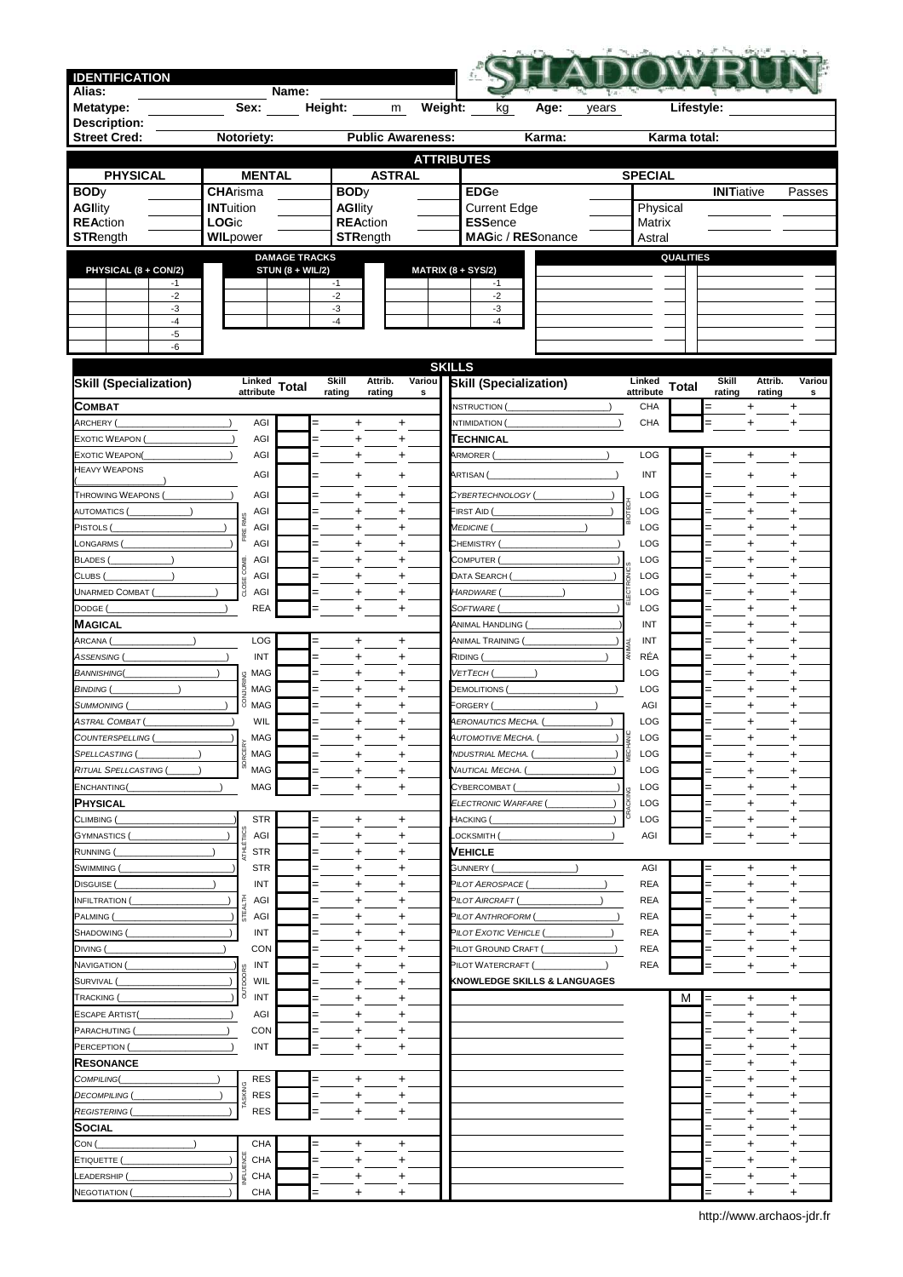| <b>IDENTIFICATION</b>               |                                     |                                |                                                 |              |                               |                          |                |               |                                                    |        |       |             |                   |                  |                   |                     |                |
|-------------------------------------|-------------------------------------|--------------------------------|-------------------------------------------------|--------------|-------------------------------|--------------------------|----------------|---------------|----------------------------------------------------|--------|-------|-------------|-------------------|------------------|-------------------|---------------------|----------------|
| Alias:                              |                                     | Sex:                           | Name:                                           | Height:      |                               |                          |                |               |                                                    |        |       |             |                   |                  |                   |                     |                |
| Metatype:<br><b>Description:</b>    |                                     |                                |                                                 |              |                               |                          | m              | Weight:       | kg                                                 | Age:   | years |             |                   | Lifestyle:       |                   |                     |                |
| <b>Street Cred:</b>                 |                                     | Notoriety:                     |                                                 |              |                               | <b>Public Awareness:</b> |                |               |                                                    | Karma: |       |             |                   | Karma total:     |                   |                     |                |
|                                     |                                     |                                |                                                 |              |                               |                          |                |               | <b>ATTRIBUTES</b>                                  |        |       |             |                   |                  |                   |                     |                |
| <b>PHYSICAL</b>                     |                                     | <b>MENTAL</b>                  |                                                 |              |                               | <b>ASTRAL</b>            |                |               |                                                    |        |       |             | <b>SPECIAL</b>    |                  |                   |                     |                |
| <b>BODy</b><br><b>AGIlity</b>       | <b>CHArisma</b><br><b>INTuition</b> |                                |                                                 |              | <b>BODy</b><br><b>AGIlity</b> |                          |                |               | <b>EDGe</b><br><b>Current Edge</b>                 |        |       |             | Physical          |                  | <b>INITiative</b> |                     | Passes         |
| <b>REAction</b>                     | <b>LOGic</b>                        |                                |                                                 |              | <b>REAction</b>               |                          |                |               | <b>ESSence</b>                                     |        |       |             | Matrix            |                  |                   |                     |                |
| <b>STRength</b>                     | WILpower                            |                                |                                                 |              |                               | <b>STRength</b>          |                |               | MAGic / RESonance                                  |        |       |             | Astral            |                  |                   |                     |                |
| PHYSICAL (8 + CON/2)                |                                     |                                | <b>DAMAGE TRACKS</b><br><b>STUN (8 + WIL/2)</b> |              |                               |                          |                |               | <b>MATRIX (8 + SYS/2)</b>                          |        |       |             |                   | <b>QUALITIES</b> |                   |                     |                |
| $-1$                                |                                     |                                |                                                 | $-1$         |                               |                          |                |               | $-1$                                               |        |       |             |                   |                  |                   |                     |                |
| $-2$<br>$-3$                        |                                     |                                |                                                 | $-2$<br>$-3$ |                               |                          |                |               | $-2$<br>$-3$                                       |        |       |             |                   |                  |                   |                     |                |
| $-4$                                |                                     |                                |                                                 | $-4$         |                               |                          |                |               | $-4$                                               |        |       |             |                   |                  |                   |                     |                |
| $-5$<br>-6                          |                                     |                                |                                                 |              |                               |                          |                |               |                                                    |        |       |             |                   |                  |                   |                     |                |
|                                     |                                     |                                |                                                 |              |                               |                          |                | <b>SKILLS</b> |                                                    |        |       |             |                   |                  |                   |                     |                |
| <b>Skill (Specialization)</b>       |                                     |                                | attribute Total                                 | Skill        |                               | Attrib.                  | Variou         |               | <b>Skill (Specialization)</b>                      |        |       |             | Linked            | <b>Total</b>     | Skill             | Attrib.             | Variou         |
| Сомват                              |                                     |                                |                                                 | rating       |                               | rating                   | s              |               | NSTRUCTION (                                       |        |       |             | attribute<br>CHA  |                  | rating<br>$=$     | rating<br>$\ddot{}$ | s<br>+         |
| ARCHERY (                           |                                     | AGI                            |                                                 |              | $\ddot{}$                     |                          | $\ddot{}$      |               | NTIMIDATION (                                      |        |       |             | CHA               |                  |                   |                     |                |
| EXOTIC WEAPON (                     |                                     | AGI                            |                                                 |              | +                             |                          | +              |               | TECHNICAL                                          |        |       |             |                   |                  |                   |                     |                |
| <b>EXOTIC WEAPON</b>                |                                     | AGI                            |                                                 |              | $\ddot{}$                     |                          | +              |               | ARMORER (                                          |        |       |             | LOG               |                  |                   | $\ddot{}$           | $\ddot{}$      |
| <b>IEAVY WEAPONS</b>                |                                     | AGI                            |                                                 |              | $\ddot{}$                     |                          | $\ddot{}$      |               | ARTISAN (                                          |        |       |             | INT               |                  |                   | $\ddot{}$           | +              |
| <b>FHROWING WEAPONS (</b>           |                                     | AGI                            |                                                 |              |                               |                          | $\ddot{}$      |               | CYBERTECHNOLOGY (                                  |        |       |             | LOG               |                  |                   |                     |                |
| <b>AUTOMATICS (</b>                 |                                     | AGI                            |                                                 |              |                               |                          | $\ddot{}$      |               | IRST AID (                                         |        |       |             | LOG<br>LOG        |                  |                   |                     | +              |
| PISTOLS (<br>ONGARMS (              |                                     | FIRE RMS<br>AGI<br>AGI         |                                                 |              | $\ddot{}$                     |                          | $\ddot{}$<br>+ |               | <b>MEDICINE</b> (<br>CHEMISTRY (                   |        |       |             | LOG               |                  |                   |                     | $\ddot{}$<br>+ |
| BLADES (                            |                                     | AGI                            |                                                 |              |                               |                          | +              |               | COMPUTER (                                         |        |       |             | LOG               |                  |                   |                     | +              |
| CLUBS (                             |                                     | COMB<br>AGI                    |                                                 |              |                               |                          | +              |               | DATA SEARCH (                                      |        |       |             | LOG               |                  |                   |                     | +              |
| UNARMED COMBAT                      |                                     | CLOSE<br>AGI                   |                                                 |              |                               |                          | +              |               | <b>HARDWARE</b>                                    |        |       |             | LOG               |                  |                   | $\ddot{}$           | +              |
| DODGE (                             |                                     | <b>REA</b>                     |                                                 |              | $\ddot{}$                     |                          | +              |               | SOFTWARE                                           |        |       |             | LOG               |                  |                   | $\ddot{}$           | +              |
| <b>MAGICAL</b><br>ARCANA (          |                                     | LOG                            |                                                 |              | $\ddot{}$                     |                          | +              |               | <b>ANIMAL HANDLING</b><br><b>ANIMAL TRAINING (</b> |        |       |             | INT<br>INT        |                  |                   | +                   | +              |
| ASSENSING (                         |                                     | INT                            |                                                 |              | $\ddot{}$                     |                          | $\ddot{}$      |               | RIDING (                                           |        |       | <b>IINV</b> | RÉA               |                  |                   |                     | +              |
| <b>BANNISHING(</b>                  |                                     | g MAG                          |                                                 |              | $\ddot{}$                     |                          | $\ddot{}$      |               | VETTECH <sup>(</sup>                               |        |       |             | LOG               |                  |                   | +                   | +              |
| BINDING (                           |                                     | <b>LJURI</b><br><b>MAG</b>     |                                                 |              | $\ddot{}$                     |                          | +              |               | DEMOLITIONS (                                      |        |       |             | LOG               |                  |                   | +                   | +              |
| Summoning (<br>ASTRAL COMBAT (      |                                     | $\frac{5}{9}$ MAG              |                                                 |              |                               |                          | $\ddag$        |               | ORGERY (                                           |        |       |             | AGI               |                  |                   |                     | +              |
| COUNTERSPELLING (                   |                                     | WIL<br>MAG                     |                                                 |              |                               |                          | +              |               | <b>ERONAUTICS MECHA</b><br>AUTOMOTIVE MECHA. (     |        |       |             | LOG<br>LOG        |                  |                   |                     |                |
| SPELLCASTING (                      |                                     | $\frac{10}{6}$ MAG             |                                                 |              | $\ddot{}$                     |                          | +              |               | 'NDUSTRIAL MECHA. (                                |        |       | СO          | LOG               |                  |                   |                     | +              |
| RITUAL SPELLCASTING (               |                                     | ŏ<br>MAG                       |                                                 |              |                               |                          | +              |               | NAUTICAL MECHA. (                                  |        |       |             | LOG               |                  |                   |                     |                |
| ENCHANTING(                         |                                     | MAG                            |                                                 |              |                               |                          | +              |               | CYBERCOMBAT (                                      |        |       |             | LOG               |                  |                   |                     |                |
| PHYSICAL                            |                                     | <b>STR</b>                     |                                                 |              |                               |                          |                |               | <b>ELECTRONIC WARFARE</b>                          |        |       |             | LOG<br>LOG        |                  |                   |                     | +              |
| Climbing (<br>GYMNASTICS (          |                                     | ğ<br>AGI                       |                                                 |              | +<br>$\ddot{}$                |                          | +<br>+         |               | HACKING (<br>OCKSMITH                              |        |       |             | AGI               |                  |                   |                     | +              |
| Running (                           |                                     | ATHLÉT<br><b>STR</b>           |                                                 |              |                               |                          | +              |               | VEHICLE                                            |        |       |             |                   |                  |                   |                     |                |
| SWIMMING (                          |                                     | <b>STR</b>                     |                                                 |              |                               |                          | +              |               | GUNNERY (_                                         |        |       |             | AGI               |                  |                   | +                   | +              |
| DISGUISE (                          |                                     | INT                            |                                                 |              |                               |                          | +              |               | PILOT AEROSPACE (                                  |        |       |             | <b>REA</b>        |                  |                   |                     | +              |
| NFILTRATION (<br>PALMING (          |                                     | Ě<br>AGI<br><b>STEJ</b><br>AGI |                                                 |              | +                             |                          | +              |               | PILOT AIRCRAFT (<br>PILOT ANTHROFORM (             |        |       |             | <b>REA</b><br>REA |                  |                   |                     | +              |
| Shadowing (                         |                                     | INT                            |                                                 |              |                               |                          | +<br>+         |               | PILOT EXOTIC VEHICLE                               |        |       |             | REA               |                  |                   |                     | +              |
| DIVING (                            |                                     | CON                            |                                                 |              |                               |                          | +              |               | PILOT GROUND CRAFT                                 |        |       |             | REA               |                  |                   |                     |                |
| <b>NAVIGATION (</b>                 |                                     | INT<br>šč                      |                                                 |              |                               |                          | +              |               | PILOT WATERCRAFT (                                 |        |       |             | <b>REA</b>        |                  |                   |                     | +              |
| SURVIVAL (                          |                                     | ourpoo<br>WIL                  |                                                 |              |                               |                          | +              |               | <b>KNOWLEDGE SKILLS &amp; LANGUAGES</b>            |        |       |             |                   |                  |                   |                     |                |
| <b>FRACKING</b> (<br>ESCAPE ARTIST( |                                     | INT<br>AGI                     |                                                 |              |                               |                          | +<br>+         |               |                                                    |        |       |             |                   | M                |                   | +                   | +              |
| PARACHUTING (                       |                                     | CON                            |                                                 |              |                               |                          | +              |               |                                                    |        |       |             |                   |                  |                   |                     |                |
| PERCEPTION (                        |                                     | INT                            |                                                 |              | +                             |                          | +              |               |                                                    |        |       |             |                   |                  |                   |                     | +              |
| RESONANCE                           |                                     |                                |                                                 |              |                               |                          |                |               |                                                    |        |       |             |                   |                  |                   |                     | +              |
| COMPILING(                          |                                     | <b>RES</b><br>SKING            |                                                 |              | +                             |                          | +              |               |                                                    |        |       |             |                   |                  |                   |                     | +              |
| DECOMPILING<br>REGISTERING (        |                                     | <b>RES</b><br><b>RES</b>       |                                                 |              | +                             |                          | +<br>+         |               |                                                    |        |       |             |                   |                  |                   |                     |                |
| Social                              |                                     |                                |                                                 |              |                               |                          |                |               |                                                    |        |       |             |                   |                  |                   |                     |                |
| CON (                               |                                     | CHA                            |                                                 | =            | $\ddot{}$                     |                          | $\ddot{}$      |               |                                                    |        |       |             |                   |                  |                   |                     | ٠              |
| Etiquette (                         |                                     | ENCE<br>CHA                    |                                                 |              | +                             |                          | +              |               |                                                    |        |       |             |                   |                  |                   |                     |                |
| <b>EADERSHIP</b>                    |                                     | mar<br>N<br>CHA                |                                                 |              | +                             |                          | +              |               |                                                    |        |       |             |                   |                  |                   |                     |                |
| NEGOTIATION (                       |                                     | CHA                            |                                                 | $=$          | +                             |                          | +              |               |                                                    |        |       |             |                   |                  |                   | +                   | +              |